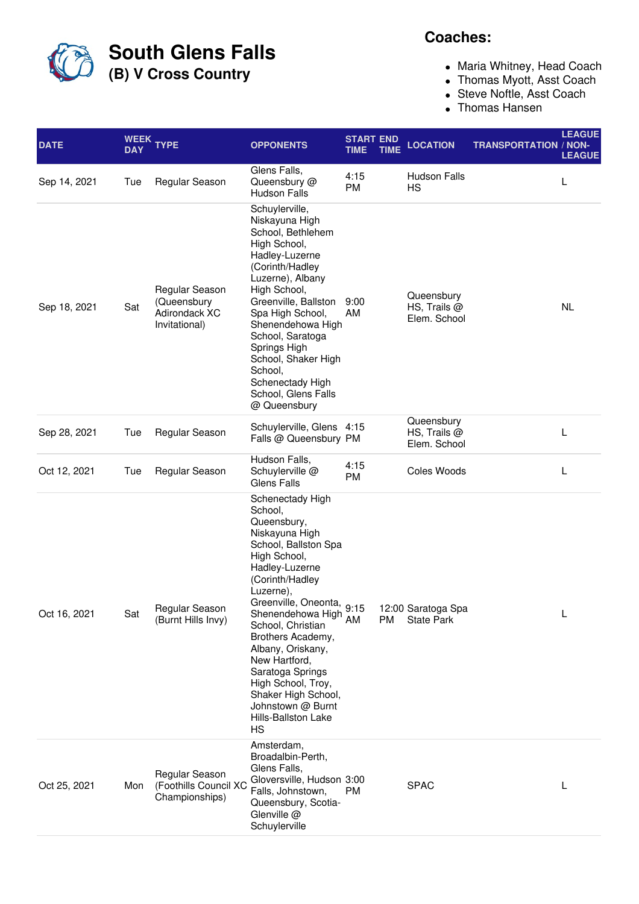**South Glens Falls**

**(B) V Cross Country**

## **Coaches:**

- Maria Whitney, Head Coach
- Thomas Myott, Asst Coach
- Steve Noftle, Asst Coach
- Thomas Hansen

| <b>DATE</b>  | <b>DAY</b> | WEEK TYPE                                                       | <b>OPPONENTS</b>                                                                                                                                                                                                                                                                                                                                                                                                      | <b>START END</b><br><b>TIME</b> | <b>TIME</b> | <b>LOCATION</b>                            | <b>TRANSPORTATION / NON-</b> | <b>LEAGUE</b><br><b>LEAGUE</b> |
|--------------|------------|-----------------------------------------------------------------|-----------------------------------------------------------------------------------------------------------------------------------------------------------------------------------------------------------------------------------------------------------------------------------------------------------------------------------------------------------------------------------------------------------------------|---------------------------------|-------------|--------------------------------------------|------------------------------|--------------------------------|
| Sep 14, 2021 | Tue        | Regular Season                                                  | Glens Falls,<br>Queensbury @<br><b>Hudson Falls</b>                                                                                                                                                                                                                                                                                                                                                                   | 4:15<br><b>PM</b>               |             | <b>Hudson Falls</b><br><b>HS</b>           |                              | L                              |
| Sep 18, 2021 | Sat        | Regular Season<br>(Queensbury<br>Adirondack XC<br>Invitational) | Schuylerville,<br>Niskayuna High<br>School, Bethlehem<br>High School,<br>Hadley-Luzerne<br>(Corinth/Hadley<br>Luzerne), Albany<br>High School,<br>Greenville, Ballston<br>Spa High School,<br>Shenendehowa High<br>School, Saratoga<br>Springs High<br>School, Shaker High<br>School,<br>Schenectady High<br>School, Glens Falls<br>@ Queensbury                                                                      | 9:00<br>AM                      |             | Queensbury<br>HS, Trails @<br>Elem. School |                              | <b>NL</b>                      |
| Sep 28, 2021 | Tue        | Regular Season                                                  | Schuylerville, Glens 4:15<br>Falls @ Queensbury PM                                                                                                                                                                                                                                                                                                                                                                    |                                 |             | Queensbury<br>HS, Trails @<br>Elem. School |                              | L                              |
| Oct 12, 2021 | Tue        | Regular Season                                                  | Hudson Falls,<br>Schuylerville @<br>Glens Falls                                                                                                                                                                                                                                                                                                                                                                       | 4:15<br>PM                      |             | Coles Woods                                |                              | L                              |
| Oct 16, 2021 | Sat        | Regular Season<br>(Burnt Hills Invy)                            | Schenectady High<br>School,<br>Queensbury,<br>Niskayuna High<br>School, Ballston Spa<br>High School,<br>Hadley-Luzerne<br>(Corinth/Hadley<br>Luzerne),<br>Greenville, Oneonta, 9:15<br>Shenendehowa High AM<br>School, Christian<br>Brothers Academy,<br>Albany, Oriskany,<br>New Hartford,<br>Saratoga Springs<br>High School, Troy,<br>Shaker High School,<br>Johnstown @ Burnt<br><b>Hills-Ballston Lake</b><br>HS |                                 | <b>PM</b>   | 12:00 Saratoga Spa<br><b>State Park</b>    |                              | Г                              |
| Oct 25, 2021 | Mon        | Regular Season<br>(Foothills Council XC<br>Championships)       | Amsterdam,<br>Broadalbin-Perth,<br>Glens Falls,<br>Gloversville, Hudson 3:00<br>Falls, Johnstown,<br>Queensbury, Scotia-<br>Glenville @<br>Schuylerville                                                                                                                                                                                                                                                              | PM                              |             | <b>SPAC</b>                                |                              | L                              |